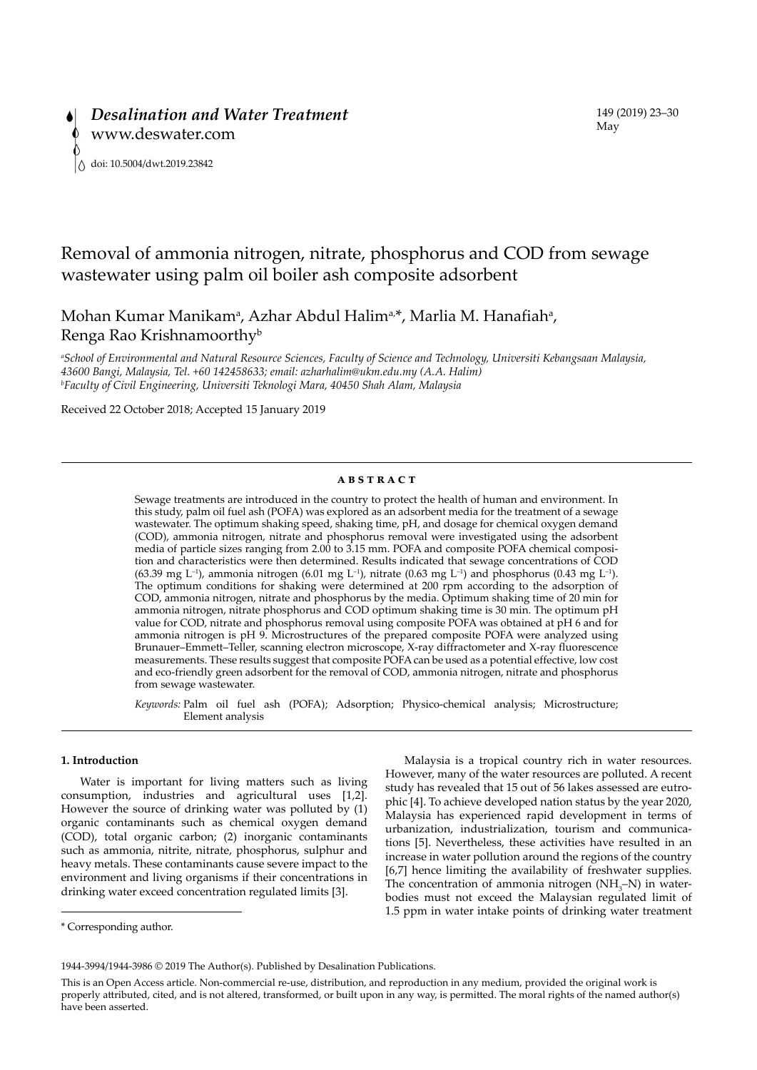# Removal of ammonia nitrogen, nitrate, phosphorus and COD from sewage wastewater using palm oil boiler ash composite adsorbent

Mohan Kumar Manikam<sup>a</sup>, Azhar Abdul Halim<sup>a,\*</sup>, Marlia M. Hanafiah<sup>a</sup>, Renga Rao Krishnamoorthyb

*a School of Environmental and Natural Resource Sciences, Faculty of Science and Technology, Universiti Kebangsaan Malaysia, 43600 Bangi, Malaysia, Tel. +60 142458633; email: azharhalim@ukm.edu.my (A.A. Halim) b Faculty of Civil Engineering, Universiti Teknologi Mara, 40450 Shah Alam, Malaysia*

Received 22 October 2018; Accepted 15 January 2019

#### **abstract**

Sewage treatments are introduced in the country to protect the health of human and environment. In this study, palm oil fuel ash (POFA) was explored as an adsorbent media for the treatment of a sewage wastewater. The optimum shaking speed, shaking time, pH, and dosage for chemical oxygen demand (COD), ammonia nitrogen, nitrate and phosphorus removal were investigated using the adsorbent media of particle sizes ranging from 2.00 to 3.15 mm. POFA and composite POFA chemical composition and characteristics were then determined. Results indicated that sewage concentrations of COD (63.39 mg L<sup>-1</sup>), ammonia nitrogen (6.01 mg L<sup>-1</sup>), nitrate (0.63 mg L<sup>-1</sup>) and phosphorus (0.43 mg L<sup>-1</sup>). The optimum conditions for shaking were determined at 200 rpm according to the adsorption of COD, ammonia nitrogen, nitrate and phosphorus by the media. Optimum shaking time of 20 min for ammonia nitrogen, nitrate phosphorus and COD optimum shaking time is 30 min. The optimum pH value for COD, nitrate and phosphorus removal using composite POFA was obtained at pH 6 and for ammonia nitrogen is pH 9. Microstructures of the prepared composite POFA were analyzed using Brunauer–Emmett–Teller, scanning electron microscope, X-ray diffractometer and X-ray fluorescence measurements. These results suggest that composite POFA can be used as a potential effective, low cost and eco-friendly green adsorbent for the removal of COD, ammonia nitrogen, nitrate and phosphorus from sewage wastewater.

*Keywords:* Palm oil fuel ash (POFA); Adsorption; Physico-chemical analysis; Microstructure; Element analysis

# **1. Introduction**

Water is important for living matters such as living consumption, industries and agricultural uses [1,2]. However the source of drinking water was polluted by (1) organic contaminants such as chemical oxygen demand (COD), total organic carbon; (2) inorganic contaminants such as ammonia, nitrite, nitrate, phosphorus, sulphur and heavy metals. These contaminants cause severe impact to the environment and living organisms if their concentrations in drinking water exceed concentration regulated limits [3].

Malaysia is a tropical country rich in water resources. However, many of the water resources are polluted. A recent study has revealed that 15 out of 56 lakes assessed are eutrophic [4]. To achieve developed nation status by the year 2020, Malaysia has experienced rapid development in terms of urbanization, industrialization, tourism and communications [5]. Nevertheless, these activities have resulted in an increase in water pollution around the regions of the country [6,7] hence limiting the availability of freshwater supplies. The concentration of ammonia nitrogen  $(NH<sub>3</sub>-N)$  in waterbodies must not exceed the Malaysian regulated limit of 1.5 ppm in water intake points of drinking water treatment

<sup>\*</sup> Corresponding author.

<sup>1944-3994/1944-3986 © 2019</sup> The Author(s). Published by Desalination Publications.

This is an Open Access article. Non-commercial re-use, distribution, and reproduction in any medium, provided the original work is properly attributed, cited, and is not altered, transformed, or built upon in any way, is permitted. The moral rights of the named author(s) have been asserted.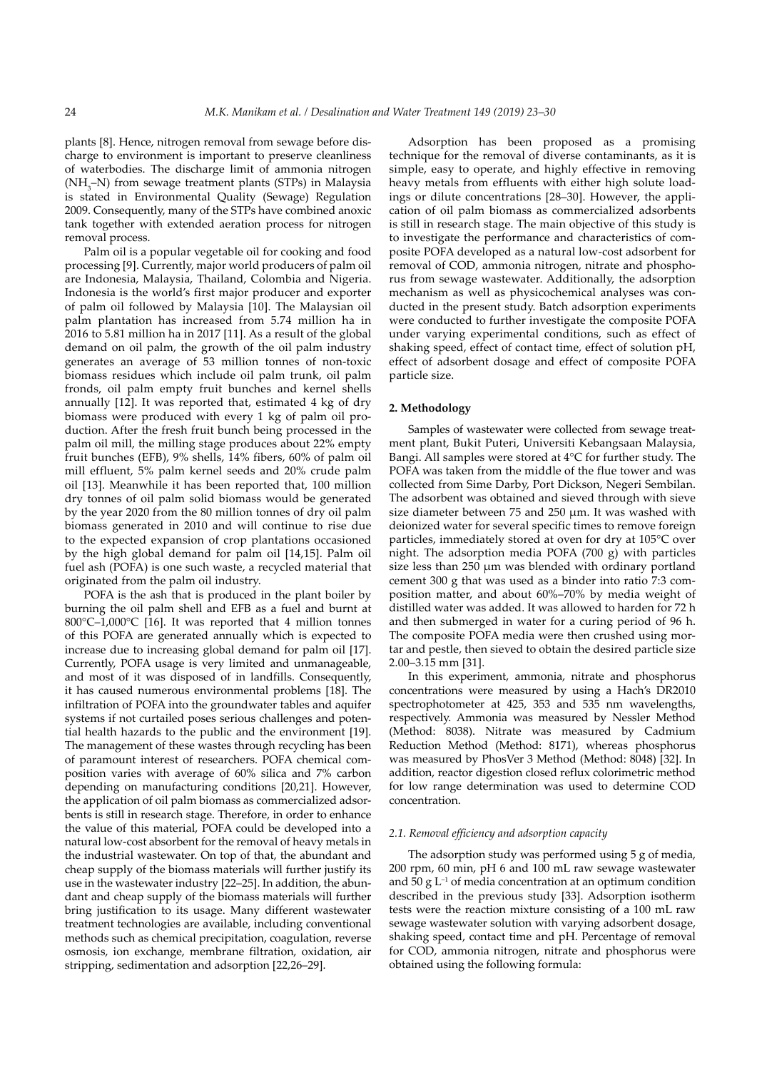plants [8]. Hence, nitrogen removal from sewage before discharge to environment is important to preserve cleanliness of waterbodies. The discharge limit of ammonia nitrogen (NH<sub>3</sub>–N) from sewage treatment plants (STPs) in Malaysia is stated in Environmental Quality (Sewage) Regulation 2009. Consequently, many of the STPs have combined anoxic tank together with extended aeration process for nitrogen removal process.

Palm oil is a popular vegetable oil for cooking and food processing [9]. Currently, major world producers of palm oil are Indonesia, Malaysia, Thailand, Colombia and Nigeria. Indonesia is the world's first major producer and exporter of palm oil followed by Malaysia [10]. The Malaysian oil palm plantation has increased from 5.74 million ha in 2016 to 5.81 million ha in 2017 [11]. As a result of the global demand on oil palm, the growth of the oil palm industry generates an average of 53 million tonnes of non-toxic biomass residues which include oil palm trunk, oil palm fronds, oil palm empty fruit bunches and kernel shells annually [12]. It was reported that, estimated 4 kg of dry biomass were produced with every 1 kg of palm oil production. After the fresh fruit bunch being processed in the palm oil mill, the milling stage produces about 22% empty fruit bunches (EFB), 9% shells, 14% fibers, 60% of palm oil mill effluent, 5% palm kernel seeds and 20% crude palm oil [13]. Meanwhile it has been reported that, 100 million dry tonnes of oil palm solid biomass would be generated by the year 2020 from the 80 million tonnes of dry oil palm biomass generated in 2010 and will continue to rise due to the expected expansion of crop plantations occasioned by the high global demand for palm oil [14,15]. Palm oil fuel ash (POFA) is one such waste, a recycled material that originated from the palm oil industry.

POFA is the ash that is produced in the plant boiler by burning the oil palm shell and EFB as a fuel and burnt at 800°C–1,000°C [16]. It was reported that 4 million tonnes of this POFA are generated annually which is expected to increase due to increasing global demand for palm oil [17]. Currently, POFA usage is very limited and unmanageable, and most of it was disposed of in landfills. Consequently, it has caused numerous environmental problems [18]. The infiltration of POFA into the groundwater tables and aquifer systems if not curtailed poses serious challenges and potential health hazards to the public and the environment [19]. The management of these wastes through recycling has been of paramount interest of researchers. POFA chemical composition varies with average of 60% silica and 7% carbon depending on manufacturing conditions [20,21]. However, the application of oil palm biomass as commercialized adsorbents is still in research stage. Therefore, in order to enhance the value of this material, POFA could be developed into a natural low-cost absorbent for the removal of heavy metals in the industrial wastewater. On top of that, the abundant and cheap supply of the biomass materials will further justify its use in the wastewater industry [22–25]. In addition, the abundant and cheap supply of the biomass materials will further bring justification to its usage. Many different wastewater treatment technologies are available, including conventional methods such as chemical precipitation, coagulation, reverse osmosis, ion exchange, membrane filtration, oxidation, air stripping, sedimentation and adsorption [22,26–29].

Adsorption has been proposed as a promising technique for the removal of diverse contaminants, as it is simple, easy to operate, and highly effective in removing heavy metals from effluents with either high solute loadings or dilute concentrations [28–30]. However, the application of oil palm biomass as commercialized adsorbents is still in research stage. The main objective of this study is to investigate the performance and characteristics of composite POFA developed as a natural low-cost adsorbent for removal of COD, ammonia nitrogen, nitrate and phosphorus from sewage wastewater. Additionally, the adsorption mechanism as well as physicochemical analyses was conducted in the present study. Batch adsorption experiments were conducted to further investigate the composite POFA under varying experimental conditions, such as effect of shaking speed, effect of contact time, effect of solution pH, effect of adsorbent dosage and effect of composite POFA particle size.

# **2. Methodology**

Samples of wastewater were collected from sewage treatment plant, Bukit Puteri, Universiti Kebangsaan Malaysia, Bangi. All samples were stored at 4°C for further study. The POFA was taken from the middle of the flue tower and was collected from Sime Darby, Port Dickson, Negeri Sembilan. The adsorbent was obtained and sieved through with sieve size diameter between 75 and 250 μm. It was washed with deionized water for several specific times to remove foreign particles, immediately stored at oven for dry at 105°C over night. The adsorption media POFA (700 g) with particles size less than 250 μm was blended with ordinary portland cement 300 g that was used as a binder into ratio 7:3 composition matter, and about 60%–70% by media weight of distilled water was added. It was allowed to harden for 72 h and then submerged in water for a curing period of 96 h. The composite POFA media were then crushed using mortar and pestle, then sieved to obtain the desired particle size 2.00–3.15 mm [31].

In this experiment, ammonia, nitrate and phosphorus concentrations were measured by using a Hach's DR2010 spectrophotometer at 425, 353 and 535 nm wavelengths, respectively. Ammonia was measured by Nessler Method (Method: 8038). Nitrate was measured by Cadmium Reduction Method (Method: 8171), whereas phosphorus was measured by PhosVer 3 Method (Method: 8048) [32]. In addition, reactor digestion closed reflux colorimetric method for low range determination was used to determine COD concentration.

#### *2.1. Removal efficiency and adsorption capacity*

The adsorption study was performed using 5 g of media, 200 rpm, 60 min, pH 6 and 100 mL raw sewage wastewater and  $50$  g L<sup>-1</sup> of media concentration at an optimum condition described in the previous study [33]. Adsorption isotherm tests were the reaction mixture consisting of a 100 mL raw sewage wastewater solution with varying adsorbent dosage, shaking speed, contact time and pH. Percentage of removal for COD, ammonia nitrogen, nitrate and phosphorus were obtained using the following formula: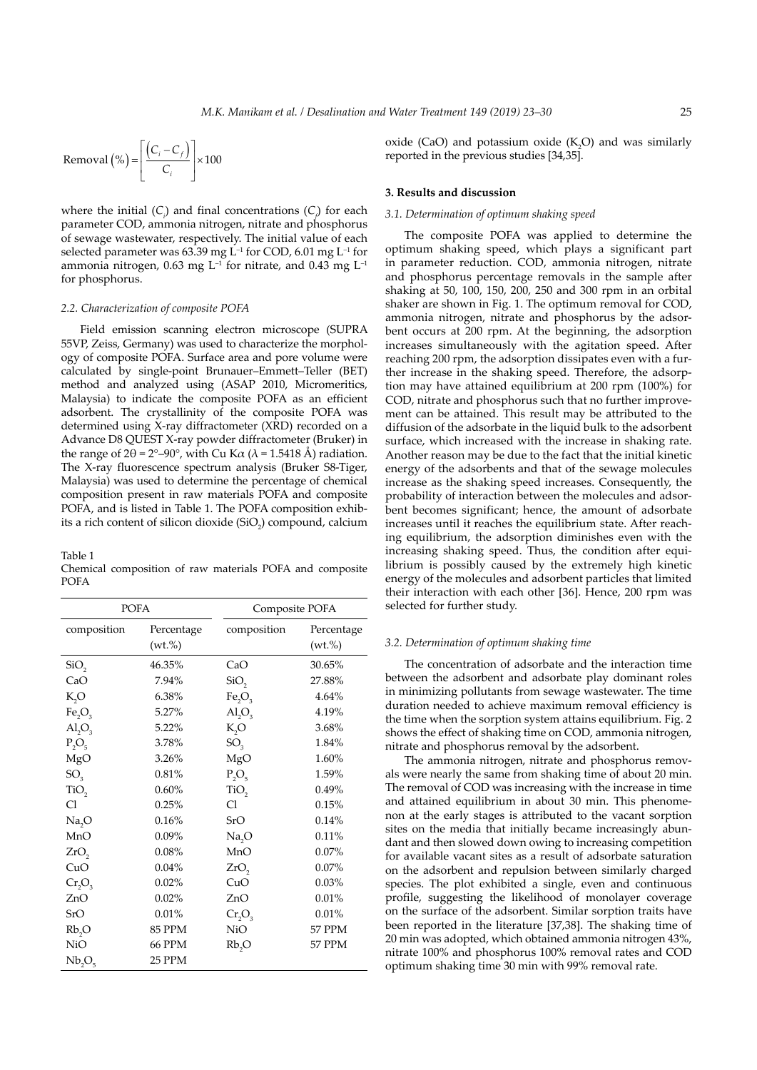Removal 
$$
\left(\% \right) = \left[ \frac{\left( C_i - C_f \right)}{C_i} \right] \times 100
$$

where the initial  $(C_i)$  and final concentrations  $(C_j)$  for each parameter COD, ammonia nitrogen, nitrate and phosphorus of sewage wastewater, respectively. The initial value of each selected parameter was  $63.39$  mg L<sup>-1</sup> for COD,  $6.01$  mg L<sup>-1</sup> for ammonia nitrogen, 0.63 mg  $L^{-1}$  for nitrate, and 0.43 mg  $L^{-1}$ for phosphorus.

#### *2.2. Characterization of composite POFA*

Field emission scanning electron microscope (SUPRA 55VP, Zeiss, Germany) was used to characterize the morphology of composite POFA. Surface area and pore volume were calculated by single-point Brunauer–Emmett–Teller (BET) method and analyzed using (ASAP 2010, Micromeritics, Malaysia) to indicate the composite POFA as an efficient adsorbent. The crystallinity of the composite POFA was determined using X-ray diffractometer (XRD) recorded on a Advance D8 QUEST X-ray powder diffractometer (Bruker) in the range of  $2\theta = 2^{\circ}-90^{\circ}$ , with Cu K $\alpha$  ( $\lambda = 1.5418$  Å) radiation. The X-ray fluorescence spectrum analysis (Bruker S8-Tiger, Malaysia) was used to determine the percentage of chemical composition present in raw materials POFA and composite POFA, and is listed in Table 1. The POFA composition exhibits a rich content of silicon dioxide  $(SiO<sub>2</sub>)$  compound, calcium

Table 1

Chemical composition of raw materials POFA and composite POFA

| <b>POFA</b>                    |                      | Composite POFA                 |                           |
|--------------------------------|----------------------|--------------------------------|---------------------------|
| composition                    | Percentage<br>(wt.%) | composition                    | Percentage<br>$(wt. \% )$ |
| SiO <sub>2</sub>               | 46.35%               | CaO                            | 30.65%                    |
| CaO                            | 7.94%                | SiO <sub>2</sub>               | 27.88%                    |
| K,O                            | 6.38%                | Fe <sub>2</sub> O <sub>3</sub> | 4.64%                     |
| Fe <sub>2</sub> O <sub>3</sub> | 5.27%                | AI <sub>2</sub> O <sub>3</sub> | 4.19%                     |
| $AI_2O_3$                      | 5.22%                | K,O                            | 3.68%                     |
| $P_2O_5$                       | 3.78%                | $SO_{\rm q}$                   | 1.84%                     |
| MgO                            | 3.26%                | MgO                            | 1.60%                     |
| SO <sub>3</sub>                | 0.81%                | $P_2O_5$                       | 1.59%                     |
| TiO <sub>2</sub>               | 0.60%                | TiO,                           | 0.49%                     |
| Cl                             | 0.25%                | Cl                             | 0.15%                     |
| Na <sub>2</sub> O              | 0.16%                | SrO                            | 0.14%                     |
| MnO                            | $0.09\%$             | Na <sub>2</sub> O              | 0.11%                     |
| ZrO <sub>2</sub>               | 0.08%                | MnO                            | 0.07%                     |
| CuO                            | 0.04%                | ZrO <sub>2</sub>               | 0.07%                     |
| $Cr_2O_3$                      | 0.02%                | CuO                            | 0.03%                     |
| ZnO                            | 0.02%                | ZnO                            | 0.01%                     |
| SrO                            | 0.01%                | $Cr_2O_3$                      | 0.01%                     |
| Rb,O                           | <b>85 PPM</b>        | <b>NiO</b>                     | <b>57 PPM</b>             |
| <b>NiO</b>                     | <b>66 PPM</b>        | Rb <sub>2</sub> O              | 57 PPM                    |
| Nb <sub>2</sub> O <sub>5</sub> | 25 PPM               |                                |                           |

oxide (CaO) and potassium oxide  $(K_2O)$  and was similarly reported in the previous studies [34,35].

### **3. Results and discussion**

## *3.1. Determination of optimum shaking speed*

The composite POFA was applied to determine the optimum shaking speed, which plays a significant part in parameter reduction. COD, ammonia nitrogen, nitrate and phosphorus percentage removals in the sample after shaking at 50, 100, 150, 200, 250 and 300 rpm in an orbital shaker are shown in Fig. 1. The optimum removal for COD, ammonia nitrogen, nitrate and phosphorus by the adsorbent occurs at 200 rpm. At the beginning, the adsorption increases simultaneously with the agitation speed. After reaching 200 rpm, the adsorption dissipates even with a further increase in the shaking speed. Therefore, the adsorption may have attained equilibrium at 200 rpm (100%) for COD, nitrate and phosphorus such that no further improvement can be attained. This result may be attributed to the diffusion of the adsorbate in the liquid bulk to the adsorbent surface, which increased with the increase in shaking rate. Another reason may be due to the fact that the initial kinetic energy of the adsorbents and that of the sewage molecules increase as the shaking speed increases. Consequently, the probability of interaction between the molecules and adsorbent becomes significant; hence, the amount of adsorbate increases until it reaches the equilibrium state. After reaching equilibrium, the adsorption diminishes even with the increasing shaking speed. Thus, the condition after equilibrium is possibly caused by the extremely high kinetic energy of the molecules and adsorbent particles that limited their interaction with each other [36]. Hence, 200 rpm was selected for further study.

#### *3.2. Determination of optimum shaking time*

The concentration of adsorbate and the interaction time between the adsorbent and adsorbate play dominant roles in minimizing pollutants from sewage wastewater. The time duration needed to achieve maximum removal efficiency is the time when the sorption system attains equilibrium. Fig. 2 shows the effect of shaking time on COD, ammonia nitrogen, nitrate and phosphorus removal by the adsorbent.

The ammonia nitrogen, nitrate and phosphorus removals were nearly the same from shaking time of about 20 min. The removal of COD was increasing with the increase in time and attained equilibrium in about 30 min. This phenomenon at the early stages is attributed to the vacant sorption sites on the media that initially became increasingly abundant and then slowed down owing to increasing competition for available vacant sites as a result of adsorbate saturation on the adsorbent and repulsion between similarly charged species. The plot exhibited a single, even and continuous profile, suggesting the likelihood of monolayer coverage on the surface of the adsorbent. Similar sorption traits have been reported in the literature [37,38]. The shaking time of 20 min was adopted, which obtained ammonia nitrogen 43%, nitrate 100% and phosphorus 100% removal rates and COD optimum shaking time 30 min with 99% removal rate.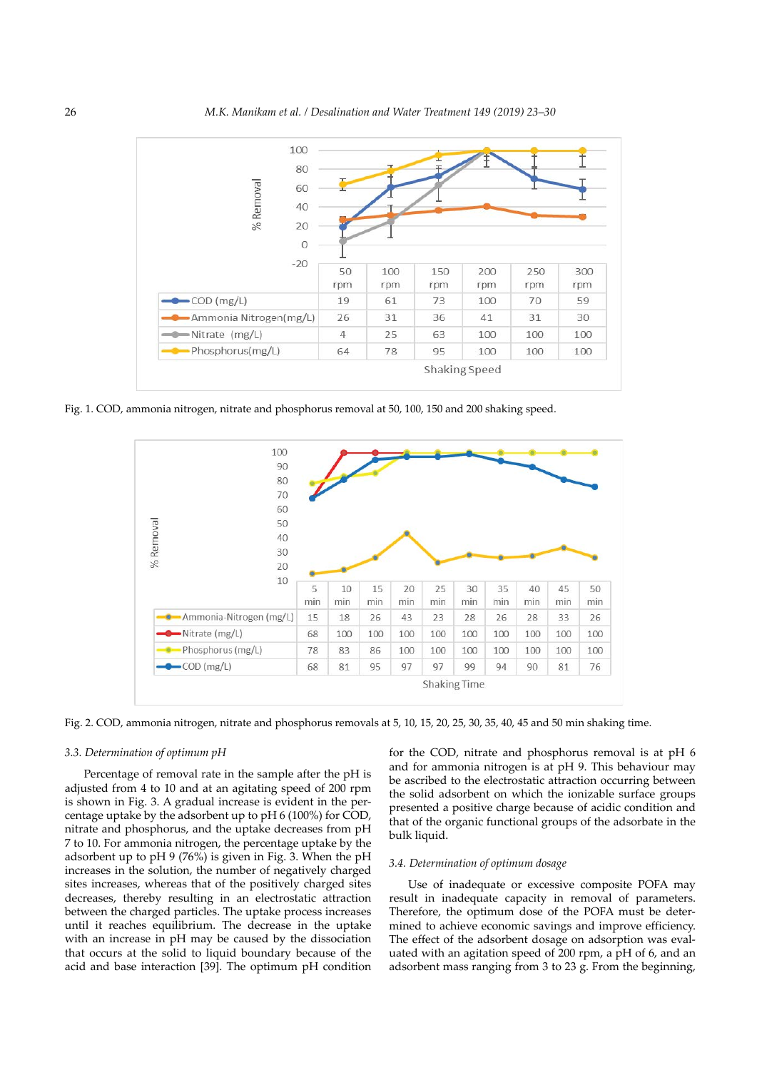

Fig. 1. COD, ammonia nitrogen, nitrate and phosphorus removal at 50, 100, 150 and 200 shaking speed.



Fig. 2. COD, ammonia nitrogen, nitrate and phosphorus removals at 5, 10, 15, 20, 25, 30, 35, 40, 45 and 50 min shaking time.

# *3.3. Determination of optimum pH*

Percentage of removal rate in the sample after the pH is adjusted from 4 to 10 and at an agitating speed of 200 rpm is shown in Fig. 3. A gradual increase is evident in the percentage uptake by the adsorbent up to pH 6 (100%) for COD, nitrate and phosphorus, and the uptake decreases from pH 7 to 10. For ammonia nitrogen, the percentage uptake by the adsorbent up to pH 9 (76%) is given in Fig. 3. When the pH increases in the solution, the number of negatively charged sites increases, whereas that of the positively charged sites decreases, thereby resulting in an electrostatic attraction between the charged particles. The uptake process increases until it reaches equilibrium. The decrease in the uptake with an increase in pH may be caused by the dissociation that occurs at the solid to liquid boundary because of the acid and base interaction [39]. The optimum pH condition

for the COD, nitrate and phosphorus removal is at pH 6 and for ammonia nitrogen is at pH 9. This behaviour may be ascribed to the electrostatic attraction occurring between the solid adsorbent on which the ionizable surface groups presented a positive charge because of acidic condition and that of the organic functional groups of the adsorbate in the bulk liquid.

### *3.4. Determination of optimum dosage*

Use of inadequate or excessive composite POFA may result in inadequate capacity in removal of parameters. Therefore, the optimum dose of the POFA must be determined to achieve economic savings and improve efficiency. The effect of the adsorbent dosage on adsorption was evaluated with an agitation speed of 200 rpm, a pH of 6, and an adsorbent mass ranging from 3 to 23 g. From the beginning,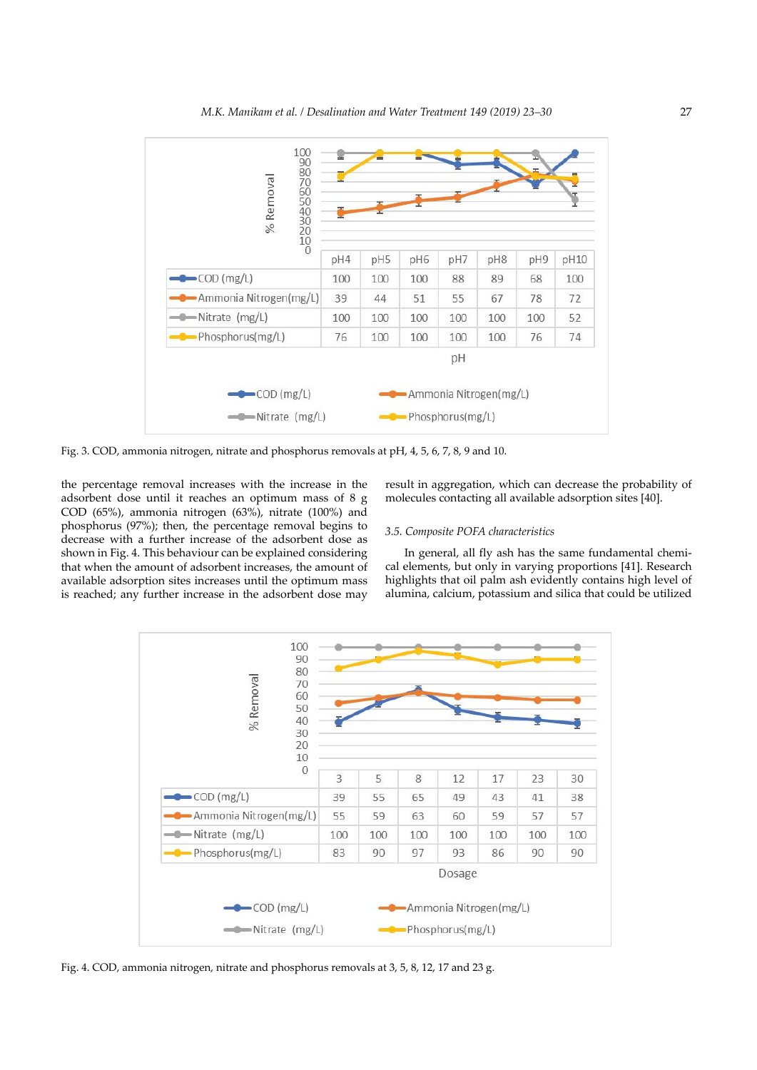

Fig. 3. COD, ammonia nitrogen, nitrate and phosphorus removals at pH, 4, 5, 6, 7, 8, 9 and 10.

the percentage removal increases with the increase in the adsorbent dose until it reaches an optimum mass of 8 g COD (65%), ammonia nitrogen (63%), nitrate (100%) and phosphorus (97%); then, the percentage removal begins to decrease with a further increase of the adsorbent dose as shown in Fig. 4. This behaviour can be explained considering that when the amount of adsorbent increases, the amount of available adsorption sites increases until the optimum mass is reached; any further increase in the adsorbent dose may

# result in aggregation, which can decrease the probability of molecules contacting all available adsorption sites [40].

#### *3.5. Composite POFA characteristics*

In general, all fly ash has the same fundamental chemical elements, but only in varying proportions [41]. Research highlights that oil palm ash evidently contains high level of alumina, calcium, potassium and silica that could be utilized



Fig. 4. COD, ammonia nitrogen, nitrate and phosphorus removals at 3, 5, 8, 12, 17 and 23 g.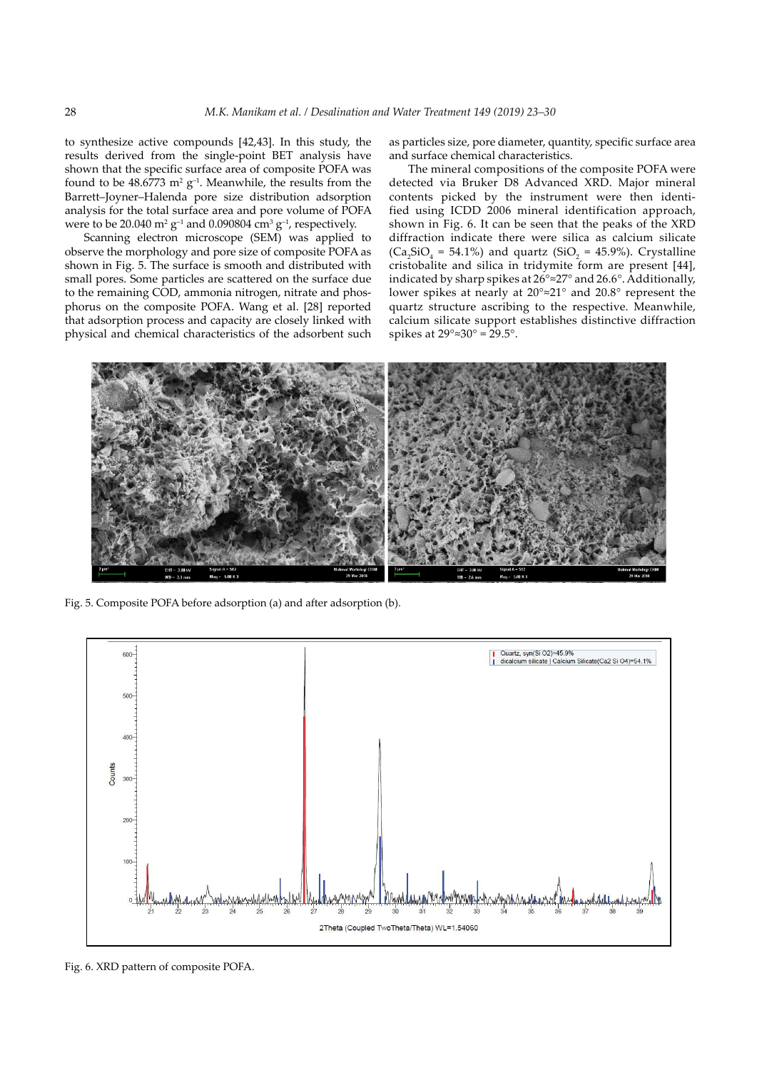to synthesize active compounds [42,43]. In this study, the results derived from the single-point BET analysis have shown that the specific surface area of composite POFA was found to be  $48.6773$  m<sup>2</sup> g<sup>-1</sup>. Meanwhile, the results from the Barrett–Joyner–Halenda pore size distribution adsorption analysis for the total surface area and pore volume of POFA were to be 20.040  $m^2$  g<sup>-1</sup> and 0.090804  $cm^3$  g<sup>-1</sup>, respectively.

Scanning electron microscope (SEM) was applied to observe the morphology and pore size of composite POFA as shown in Fig. 5. The surface is smooth and distributed with small pores. Some particles are scattered on the surface due to the remaining COD, ammonia nitrogen, nitrate and phosphorus on the composite POFA. Wang et al. [28] reported that adsorption process and capacity are closely linked with physical and chemical characteristics of the adsorbent such as particles size, pore diameter, quantity, specific surface area and surface chemical characteristics.

The mineral compositions of the composite POFA were detected via Bruker D8 Advanced XRD. Major mineral contents picked by the instrument were then identified using ICDD 2006 mineral identification approach, shown in Fig. 6. It can be seen that the peaks of the XRD diffraction indicate there were silica as calcium silicate  $(Ca_2SiO_4 = 54.1\%)$  and quartz (SiO<sub>2</sub> = 45.9%). Crystalline cristobalite and silica in tridymite form are present [44], indicated by sharp spikes at 26°≈27° and 26.6°. Additionally, lower spikes at nearly at 20°≈21° and 20.8° represent the quartz structure ascribing to the respective. Meanwhile, calcium silicate support establishes distinctive diffraction spikes at  $29^\circ \approx 30^\circ = 29.5^\circ$ .



Fig. 5. Composite POFA before adsorption (a) and after adsorption (b).



Fig. 6. XRD pattern of composite POFA.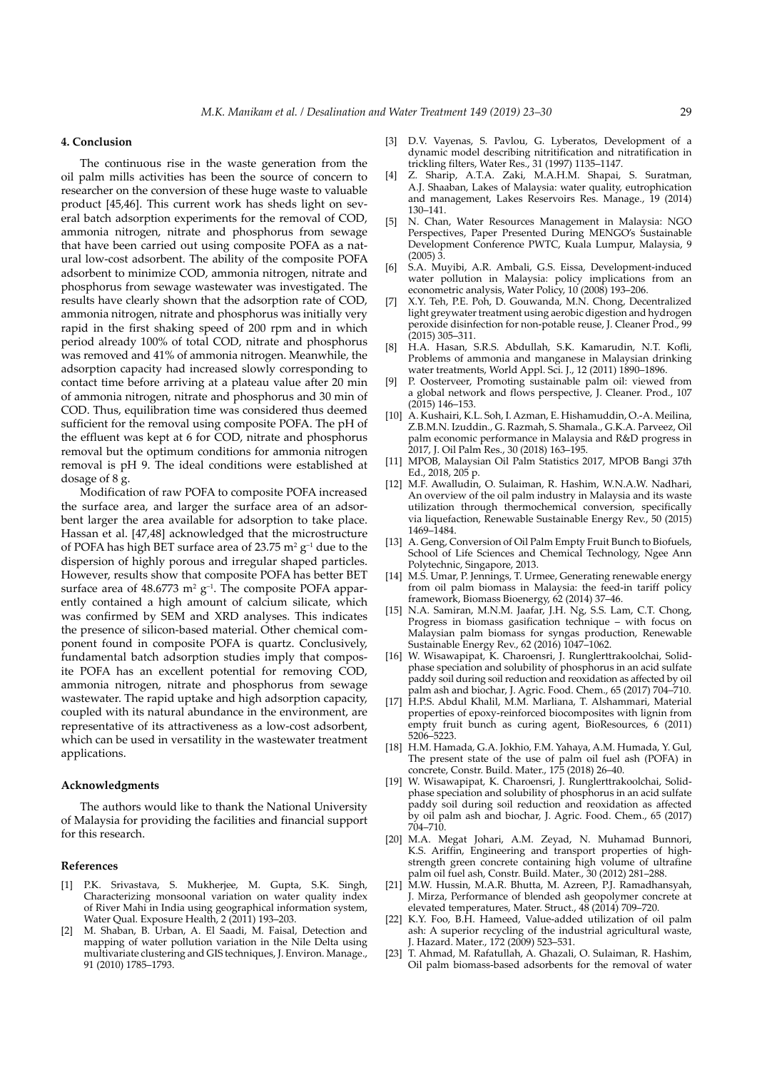#### **4. Conclusion**

The continuous rise in the waste generation from the oil palm mills activities has been the source of concern to researcher on the conversion of these huge waste to valuable product [45,46]. This current work has sheds light on several batch adsorption experiments for the removal of COD, ammonia nitrogen, nitrate and phosphorus from sewage that have been carried out using composite POFA as a natural low-cost adsorbent. The ability of the composite POFA adsorbent to minimize COD, ammonia nitrogen, nitrate and phosphorus from sewage wastewater was investigated. The results have clearly shown that the adsorption rate of COD, ammonia nitrogen, nitrate and phosphorus was initially very rapid in the first shaking speed of 200 rpm and in which period already 100% of total COD, nitrate and phosphorus was removed and 41% of ammonia nitrogen. Meanwhile, the adsorption capacity had increased slowly corresponding to contact time before arriving at a plateau value after 20 min of ammonia nitrogen, nitrate and phosphorus and 30 min of COD. Thus, equilibration time was considered thus deemed sufficient for the removal using composite POFA. The pH of the effluent was kept at 6 for COD, nitrate and phosphorus removal but the optimum conditions for ammonia nitrogen removal is pH 9. The ideal conditions were established at dosage of 8 g.

Modification of raw POFA to composite POFA increased the surface area, and larger the surface area of an adsorbent larger the area available for adsorption to take place. Hassan et al. [47,48] acknowledged that the microstructure of POFA has high BET surface area of 23.75  $m^2$  g<sup>-1</sup> due to the dispersion of highly porous and irregular shaped particles. However, results show that composite POFA has better BET surface area of  $48.6773$  m<sup>2</sup> g<sup>-1</sup>. The composite POFA apparently contained a high amount of calcium silicate, which was confirmed by SEM and XRD analyses. This indicates the presence of silicon-based material. Other chemical component found in composite POFA is quartz. Conclusively, fundamental batch adsorption studies imply that composite POFA has an excellent potential for removing COD, ammonia nitrogen, nitrate and phosphorus from sewage wastewater. The rapid uptake and high adsorption capacity, coupled with its natural abundance in the environment, are representative of its attractiveness as a low-cost adsorbent, which can be used in versatility in the wastewater treatment applications.

#### **Acknowledgments**

The authors would like to thank the National University of Malaysia for providing the facilities and financial support for this research.

#### **References**

- [1] P.K. Srivastava, S. Mukherjee, M. Gupta, S.K. Singh, Characterizing monsoonal variation on water quality index of River Mahi in India using geographical information system, Water Qual. Exposure Health, 2 (2011) 193–203.
- [2] M. Shaban, B. Urban, A. El Saadi, M. Faisal, Detection and mapping of water pollution variation in the Nile Delta using multivariate clustering and GIS techniques, J. Environ. Manage., 91 (2010) 1785–1793.
- [3] D.V. Vayenas, S. Pavlou, G. Lyberatos, Development of a dynamic model describing nitritification and nitratification in trickling filters, Water Res., 31 (1997) 1135–1147.
- [4] Z. Sharip, A.T.A. Zaki, M.A.H.M. Shapai, S. Suratman, A.J. Shaaban, Lakes of Malaysia: water quality, eutrophication and management, Lakes Reservoirs Res. Manage., 19 (2014) 130–141.
- [5] N. Chan, Water Resources Management in Malaysia: NGO Perspectives, Paper Presented During MENGO's Sustainable Development Conference PWTC, Kuala Lumpur, Malaysia, 9 (2005) 3.
- [6] S.A. Muyibi, A.R. Ambali, G.S. Eissa, Development-induced water pollution in Malaysia: policy implications from an econometric analysis, Water Policy, 10 (2008) 193–206.
- [7] X.Y. Teh, P.E. Poh, D. Gouwanda, M.N. Chong, Decentralized light greywater treatment using aerobic digestion and hydrogen peroxide disinfection for non-potable reuse, J. Cleaner Prod., 99 (2015) 305–311.
- [8] H.A. Hasan, S.R.S. Abdullah, S.K. Kamarudin, N.T. Kofli, Problems of ammonia and manganese in Malaysian drinking water treatments, World Appl. Sci. J., 12 (2011) 1890–1896.
- P. Oosterveer, Promoting sustainable palm oil: viewed from a global network and flows perspective, J. Cleaner. Prod., 107 (2015) 146–153.
- [10] A. Kushairi, K.L. Soh, I. Azman, E. Hishamuddin, O.-A. Meilina, Z.B.M.N. Izuddin., G. Razmah, S. Shamala., G.K.A. Parveez, Oil palm economic performance in Malaysia and R&D progress in 2017, J. Oil Palm Res., 30 (2018) 163–195.
- [11] MPOB, Malaysian Oil Palm Statistics 2017, MPOB Bangi 37th Ed., 2018, 205 p.
- [12] M.F. Awalludin, O. Sulaiman, R. Hashim, W.N.A.W. Nadhari, An overview of the oil palm industry in Malaysia and its waste utilization through thermochemical conversion, specifically via liquefaction, Renewable Sustainable Energy Rev., 50 (2015) 1469–1484.
- [13] A. Geng, Conversion of Oil Palm Empty Fruit Bunch to Biofuels, School of Life Sciences and Chemical Technology, Ngee Ann Polytechnic, Singapore, 2013.
- [14] M.S. Umar, P. Jennings, T. Urmee, Generating renewable energy from oil palm biomass in Malaysia: the feed-in tariff policy framework, Biomass Bioenergy, 62 (2014) 37–46.
- [15] N.A. Samiran, M.N.M. Jaafar, J.H. Ng, S.S. Lam, C.T. Chong, Progress in biomass gasification technique – with focus on Malaysian palm biomass for syngas production, Renewable Sustainable Energy Rev., 62 (2016) 1047–1062.
- [16] W. Wisawapipat, K. Charoensri, J. Runglerttrakoolchai, Solidphase speciation and solubility of phosphorus in an acid sulfate paddy soil during soil reduction and reoxidation as affected by oil palm ash and biochar, J. Agric. Food. Chem., 65 (2017) 704–710.
- [17] H.P.S. Abdul Khalil, M.M. Marliana, T. Alshammari, Material properties of epoxy-reinforced biocomposites with lignin from empty fruit bunch as curing agent, BioResources, 6 (2011) 5206–5223.
- [18] H.M. Hamada, G.A. Jokhio, F.M. Yahaya, A.M. Humada, Y. Gul, The present state of the use of palm oil fuel ash (POFA) in concrete, Constr. Build. Mater., 175 (2018) 26–40.
- [19] W. Wisawapipat, K. Charoensri, J. Runglerttrakoolchai, Solidphase speciation and solubility of phosphorus in an acid sulfate paddy soil during soil reduction and reoxidation as affected by oil palm ash and biochar, J. Agric. Food. Chem., 65 (2017) 704–710.
- [20] M.A. Megat Johari, A.M. Zeyad, N. Muhamad Bunnori, K.S. Ariffin, Engineering and transport properties of highstrength green concrete containing high volume of ultrafine palm oil fuel ash, Constr. Build. Mater., 30 (2012) 281–288.
- [21] M.W. Hussin, M.A.R. Bhutta, M. Azreen, P.J. Ramadhansyah, J. Mirza, Performance of blended ash geopolymer concrete at elevated temperatures, Mater. Struct., 48 (2014) 709–720.
- [22] K.Y. Foo, B.H. Hameed, Value-added utilization of oil palm ash: A superior recycling of the industrial agricultural waste, J. Hazard. Mater., 172 (2009) 523–531.
- [23] T. Ahmad, M. Rafatullah, A. Ghazali, O. Sulaiman, R. Hashim, Oil palm biomass-based adsorbents for the removal of water